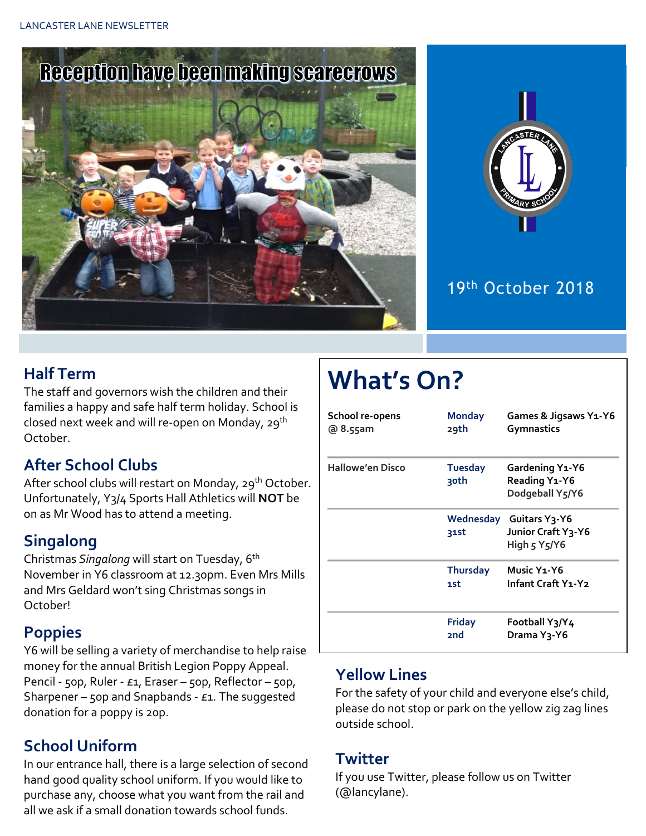



## 19th October 2018

## **Half Term**

The staff and governors wish the children and their families a happy and safe half term holiday. School is closed next week and will re-open on Monday, 29<sup>th</sup> October.

### **After School Clubs**

After school clubs will restart on Monday, 29<sup>th</sup> October. Unfortunately, Y3/4 Sports Hall Athletics will **NOT** be on as Mr Wood has to attend a meeting.

## **Singalong**

Christmas *Singalong* will start on Tuesday, 6th November in Y6 classroom at 12.30pm. Even Mrs Mills and Mrs Geldard won't sing Christmas songs in October!

### **Poppies**

Y6 will be selling a variety of merchandise to help raise money for the annual British Legion Poppy Appeal. Pencil - 50p, Ruler - £1, Eraser – 50p, Reflector – 50p, Sharpener – 50p and Snapbands -  $E1$ . The suggested donation for a poppy is 20p.

## **School Uniform**

In our entrance hall, there is a large selection of second hand good quality school uniform. If you would like to purchase any, choose what you want from the rail and all we ask if a small donation towards school funds.

# **What's On?**

| School re-opens<br>@ 8.55am | <b>Monday</b><br>29th  | Games & Jigsaws Y1-Y6<br>Gymnastics                                                      |
|-----------------------------|------------------------|------------------------------------------------------------------------------------------|
| <b>Hallowe'en Disco</b>     | <b>Tuesday</b><br>30th | Gardening Y1-Y6<br>Reading Y1-Y6<br>Dodgeball Y5/Y6                                      |
|                             | 31st                   | Wednesday Guitars Y3-Y6<br>Junior Craft Y3-Y6<br>High $5$ Y <sub>5</sub> /Y <sub>6</sub> |
|                             | <b>Thursday</b><br>1st | Music Y <sub>1</sub> -Y <sub>6</sub><br>Infant Craft Y1-Y2                               |
|                             | Friday<br><b>2nd</b>   | Football Y3/Y4<br>Drama Y <sub>3</sub> -Y6                                               |

### **Yellow Lines**

For the safety of your child and everyone else's child, please do not stop or park on the yellow zig zag lines outside school.

#### **Twitter**

If you use Twitter, please follow us on Twitter (@lancylane).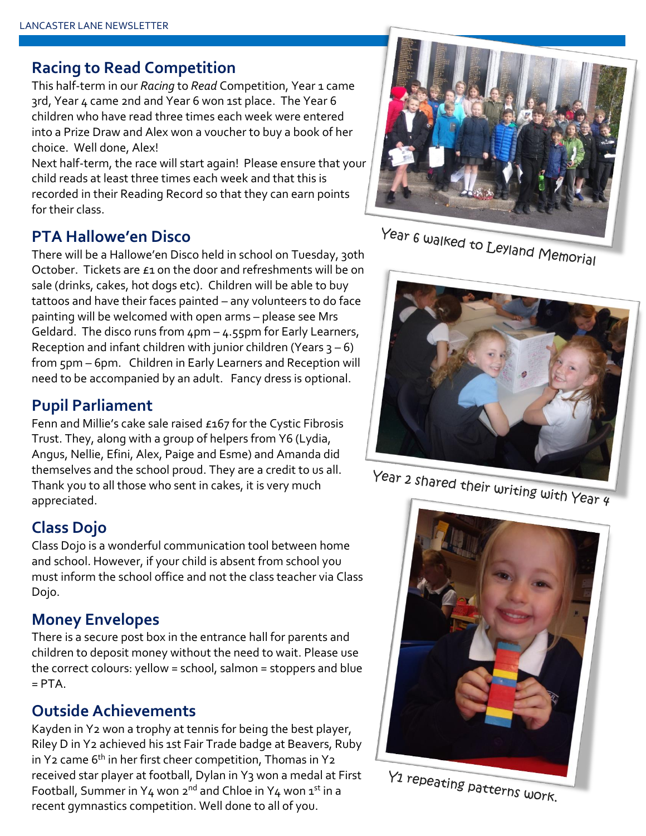#### **Racing to Read Competition**

This half-term in our *Racing* to *Read* Competition, Year 1 came 3rd, Year 4 came 2nd and Year 6 won 1st place. The Year 6 children who have read three times each week were entered into a Prize Draw and Alex won a voucher to buy a book of her choice. Well done, Alex!

Next half-term, the race will start again! Please ensure that your child reads at least three times each week and that this is recorded in their Reading Record so that they can earn points for their class.

#### **PTA Hallowe'en Disco**

There will be a Hallowe'en Disco held in school on Tuesday, 30th October. Tickets are £1 on the door and refreshments will be on sale (drinks, cakes, hot dogs etc). Children will be able to buy tattoos and have their faces painted – any volunteers to do face painting will be welcomed with open arms – please see Mrs Geldard. The disco runs from  $4pm - 4.55$ pm for Early Learners, Reception and infant children with junior children (Years  $3 - 6$ ) from 5pm – 6pm. Children in Early Learners and Reception will need to be accompanied by an adult. Fancy dress is optional.

#### **Pupil Parliament**

Fenn and Millie's cake sale raised £167 for the Cystic Fibrosis Trust. They, along with a group of helpers from Y6 (Lydia, Angus, Nellie, Efini, Alex, Paige and Esme) and Amanda did themselves and the school proud. They are a credit to us all. Thank you to all those who sent in cakes, it is very much appreciated.

#### **Class Dojo**

Class Dojo is a wonderful communication tool between home and school. However, if your child is absent from school you must inform the school office and not the class teacher via Class Dojo.

#### **Money Envelopes**

There is a secure post box in the entrance hall for parents and children to deposit money without the need to wait. Please use the correct colours: yellow = school, salmon = stoppers and blue  $=$  PTA.

#### **Outside Achievements**

Kayden in Y2 won a trophy at tennis for being the best player, Riley D in Y2 achieved his 1st Fair Trade badge at Beavers, Ruby in Y<sub>2</sub> came  $6<sup>th</sup>$  in her first cheer competition, Thomas in Y<sub>2</sub> received star player at football, Dylan in Y3 won a medal at First Football, Summer in Y4 won  $2^{nd}$  and Chloe in Y4 won  $1^{st}$  in a recent gymnastics competition. Well done to all of you.





Year 2 shared their writing with Year 4



Y1 repeating patterns work.